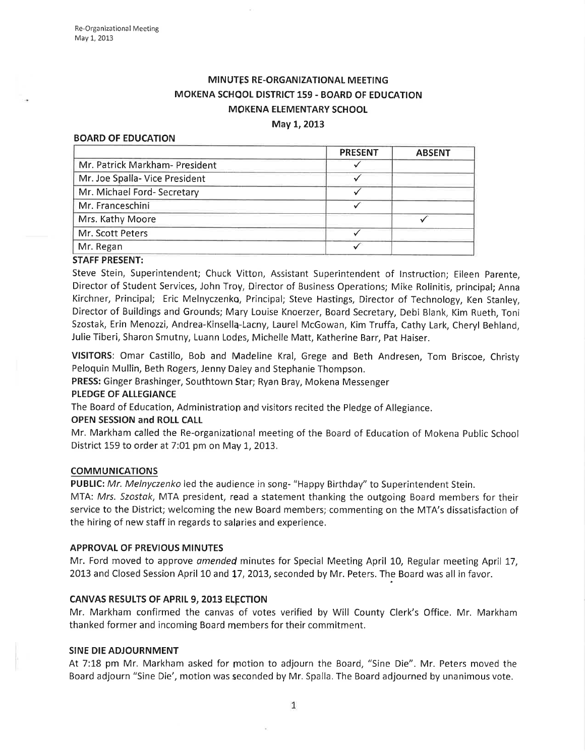# MINUTES RE-ORGANIZATIONAL MEETING MOKENA SCHOOL DISTRICT 159 - BOARD OF EDUCATION MOKENA ELEMENTARY SCHOOL

### May 1, 2013

#### BOARD OF EDUCATION

|                                | <b>PRESENT</b> | <b>ABSENT</b> |
|--------------------------------|----------------|---------------|
| Mr. Patrick Markham- President |                |               |
| Mr. Joe Spalla- Vice President |                |               |
| Mr. Michael Ford- Secretary    |                |               |
| Mr. Franceschini               |                |               |
| Mrs. Kathy Moore               |                |               |
| Mr. Scott Peters               |                |               |
| Mr. Regan                      |                |               |
|                                |                |               |

#### STAFF PRESENT:

Steve Stein, Superintendent; Chuck Vitton, Assistant Superintendent of lnstruction; Eileen Parente, Director of Student Services, John Troy, Director of Business Operations; Mike Rolinitis, principal; Anna Kirchner, Principal; Eric Melnyczenko, Principal; Steve Hastings, Director of Technology, Ken Stanley, Director of Buildings and Grounds; Mqry Louise Knoerzer, Board Secretary, Debi Blank, Kim Rueth, Toni Szostak, Erin Menozzi, Andrea-Kinsellq-Lacny, Laurel McGowan, Kim Truffa, Cathy Lark, Cheryl Behland, Julie Tiberi, Sharon Smutny, Luann Lodes, Michelle Matt, Katherine Barr, Pat Haiser.

VISITORS: Omar Castillo, Bob and Madeline Kral, Grege and Beth Andresen, Tom Briscoe, Christy Peloquin Mullin, Beth Rogers, Jenny Daley and Stephanie Thompson.

PRESS: Ginger Brashinger, Southtown Star; Ryan Bray, Mokena Messenger

### PLEDGE OF ALLEGIANCE

The Board of Education, Administration and visitors recited the Pledge of Allegiance.

### OPEN SESSION and ROLL CALL

Mr. Markham called the Re-organizational meeting of the Board of Education of Mokena Public School District 159 to order at  $7:01$  pm on May 1, 2013.

### COMMUNICATIONS

PUBLIC: Mr. Melnyczenko led the audience in song- "Happy Birthday" to Superintendent Stein.

MTA: Mrs. Szostak, MTA president, read a statement thanking the outgoing Board members for their service to the District; welcoming the new Board members; commenting on the MTA's dissatisfaction of the hiring of new staff in regards to salaries and experience.

### APPROVAL OF PREVIOUS MINUTES

Mr. Ford moved to approve amended minutes for Special Meeting April 10, Regular meeting April 17, 2013 and Closed Session April 10 and 17, 2013, seconded by Mr. Peters. The Board was all in favor.

### CANVAS RESULTS OF APRIL 9, 2013 ELECTION

Mr. Markham confirmed the canvas of votes verified by Will County Clerk's Office. Mr. Markham thanked former and incoming Board members for their commitment.

### SINE DIE ADJOURNMENT

At 7:18 pm Mr. Markham asked for motion to adjourn the Board, "Sine Die". Mr. Peters moved the Board adjourn "Sine Die', motion was seconded by Mr. Spalla. The Board adjourned by unanimous vote.

 $1\,$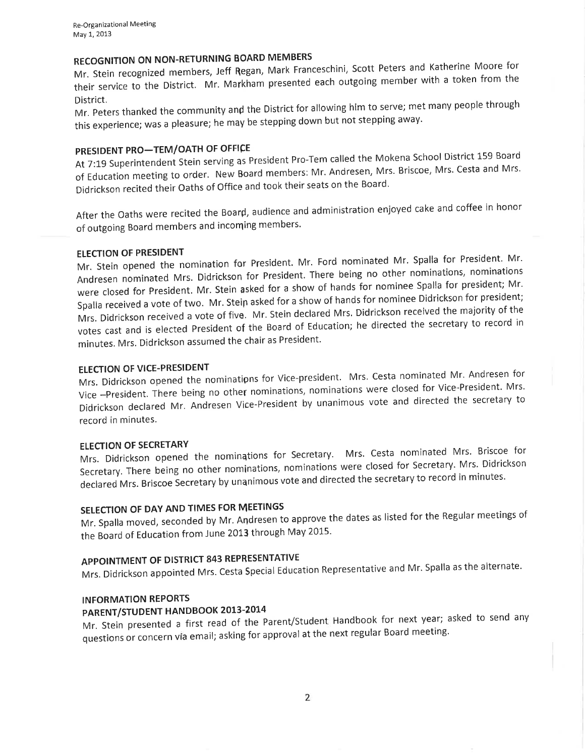# RECOGNITION ON NON-RETURNING BOARD MEMBERS

RECOGNITION ON NON RETURNING TOWN.<br>Mr. Stein recognized members, Jeff Regan, Mark Franceschini, Scott Peters and Katherine Moore for their stem recognized incrimently continually in presented each outgoing member with a token from the<br>their service to the District. Mr. Markham presented each outgoing member with a token from the

District.<br>Mr. Peters thanked the community and the District for allowing him to serve; met many people through this experience; was a pleasure; he may be stepping down but not stepping away.

# PRESIDENT PRO-TEM/OATH OF OFFICE

At 7:19 Superintendent Stein serving as President Pro-Tem called the Mokena School District 159 Board of Education meeting to order. New Board members: Mr. Andresen, Mrs. Briscoe, Mrs. Cesta and Mrs. Didrickson recited their Oaths of Office and took their seats on the Board.

After the oaths were recited the Board, audience and administration enjoyed cake and coffee in honor of outgoing Board members and incoming members.

### ELECTION OF PRESIDENT

Mr. Stein opened the nomination for President. Mr. Ford nominated Mr. Spalla for President. Mr. Andresen nominated Mrs. Didrickson for President. There being no other nominations' nominations were closed for President. Mr. Stein asked for a show of hands for nominee Spalla for president; Mr. Spalla received a vote of two. Mr. Stein asked for a show of hands for nominee Didrickson for president; Mrs. Didrickson received a vote of five. Mr. stein declared Mrs, Didrickson received the majority of the votes cast and is elected President of the Board of Education; he directed the secretary to record in minutes. Mrs. Didrickson assumed the chair as President.

### ELECTION OF VICE-PRESIDENT

Mrs. Didrickson opened the nominations for Vice-president. Twist Cestanominated Mr. Andresenformer Vice -President. There being no other nominations, nominations were closed for Vice-President. Mrs. Didrickson declared Mr. Andresen Vice-President by unanimous vote and directed the secretary to record in minutes.

### ELECTION OF SECRETARY

Mrs. Didrickson opened the nominations for Secretary. Mrs. Cesta nominated Mrs. Briscoe for Secretary. There being no other nominations, nominations were closed for Secretary. Mrs. Didrickson declared Mrs. Briscoe Secretary by unanimous vote and directed the secretary to record in minutes.

# SELECTION OF DAY AND TIMES FOR MEETINGS

Mr. Spalla moved, seconded by Mr, Andresen to approve the dates as listed for the Regular meetings of the Board of Education from June 2013 through May 2015.

# APPOINTMENT OF DISTRICT 843 REPRESENTATIVE

Mrs. Didrickson appointed Mrs. Cesta Special Education Representative and Mr. Spalla as the alternate.

### INFORMATION REPORTS

# PARENT/STUDENT HANDBOOK 2013-2014

PARENT/STODENT HANDBOOK 2015 2021<br>Mr. Stein presented a first read of the Parent/Student Handbook for next year; asked to send any questions or concern vta email; asking for approval at the next regular Board meeting.